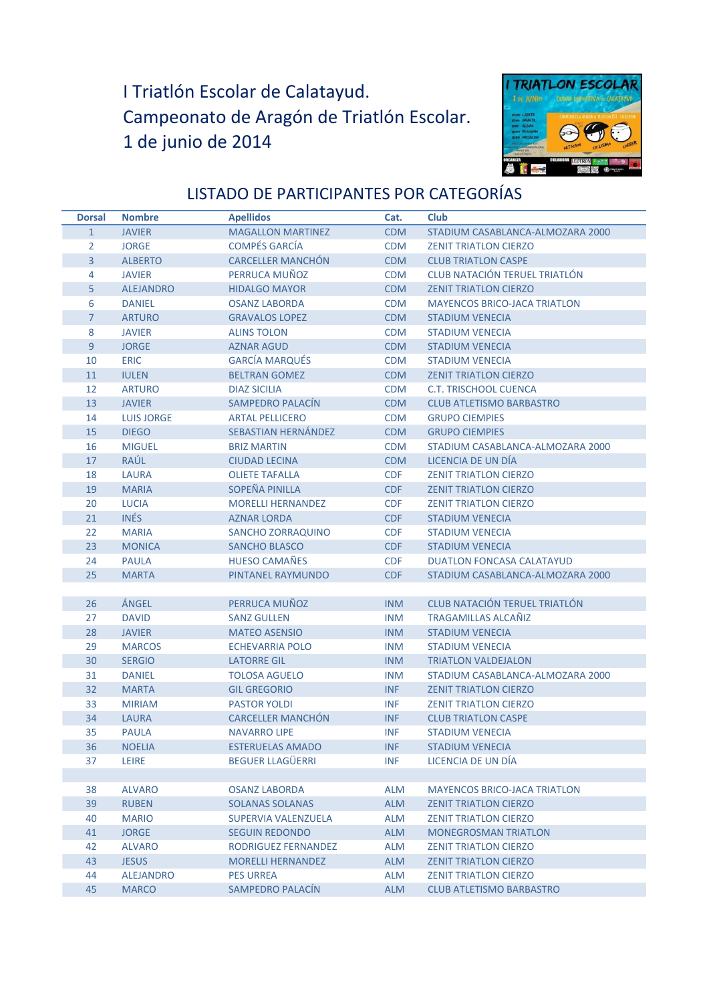## I Triatlón Escolar de Calatayud. Campeonato de Aragón de Triatlón Escolar. 1 de junio de 2014



## LISTADO DE PARTICIPANTES POR CATEGORÍAS

| <b>Dorsal</b>  | <b>Nombre</b>     | <b>Apellidos</b>           | Cat.       | Club                                 |
|----------------|-------------------|----------------------------|------------|--------------------------------------|
| $\mathbf{1}$   | <b>JAVIER</b>     | <b>MAGALLON MARTINEZ</b>   | <b>CDM</b> | STADIUM CASABLANCA-ALMOZARA 2000     |
| 2              | <b>JORGE</b>      | <b>COMPÉS GARCÍA</b>       | <b>CDM</b> | <b>ZENIT TRIATLON CIERZO</b>         |
| $\overline{3}$ | <b>ALBERTO</b>    | <b>CARCELLER MANCHÓN</b>   | <b>CDM</b> | <b>CLUB TRIATLON CASPE</b>           |
| 4              | <b>JAVIER</b>     | PERRUCA MUÑOZ              | <b>CDM</b> | CLUB NATACIÓN TERUEL TRIATLÓN        |
| 5              | <b>ALEJANDRO</b>  | <b>HIDALGO MAYOR</b>       | <b>CDM</b> | <b>ZENIT TRIATLON CIERZO</b>         |
| 6              | <b>DANIEL</b>     | <b>OSANZ LABORDA</b>       | <b>CDM</b> | <b>MAYENCOS BRICO-JACA TRIATLON</b>  |
| $\overline{7}$ | <b>ARTURO</b>     | <b>GRAVALOS LOPEZ</b>      | <b>CDM</b> | <b>STADIUM VENECIA</b>               |
| 8              | <b>JAVIER</b>     | <b>ALINS TOLON</b>         | <b>CDM</b> | <b>STADIUM VENECIA</b>               |
| 9              | <b>JORGE</b>      | <b>AZNAR AGUD</b>          | <b>CDM</b> | <b>STADIUM VENECIA</b>               |
| 10             | <b>ERIC</b>       | <b>GARCÍA MARQUÉS</b>      | <b>CDM</b> | <b>STADIUM VENECIA</b>               |
| 11             | <b>IULEN</b>      | <b>BELTRAN GOMEZ</b>       | <b>CDM</b> | <b>ZENIT TRIATLON CIERZO</b>         |
| 12             | <b>ARTURO</b>     | <b>DIAZ SICILIA</b>        | <b>CDM</b> | <b>C.T. TRISCHOOL CUENCA</b>         |
| 13             | <b>JAVIER</b>     | <b>SAMPEDRO PALACÍN</b>    | <b>CDM</b> | <b>CLUB ATLETISMO BARBASTRO</b>      |
| 14             | <b>LUIS JORGE</b> | <b>ARTAL PELLICERO</b>     | <b>CDM</b> | <b>GRUPO CIEMPIES</b>                |
| 15             | <b>DIEGO</b>      | <b>SEBASTIAN HERNÁNDEZ</b> | <b>CDM</b> | <b>GRUPO CIEMPIES</b>                |
| 16             | <b>MIGUEL</b>     | <b>BRIZ MARTIN</b>         | <b>CDM</b> | STADIUM CASABLANCA-ALMOZARA 2000     |
| 17             | RAÚL              | <b>CIUDAD LECINA</b>       | <b>CDM</b> | LICENCIA DE UN DÍA                   |
| 18             | <b>LAURA</b>      | <b>OLIETE TAFALLA</b>      | <b>CDF</b> | <b>ZENIT TRIATLON CIERZO</b>         |
| 19             | <b>MARIA</b>      | <b>SOPEÑA PINILLA</b>      | <b>CDF</b> | <b>ZENIT TRIATLON CIERZO</b>         |
| 20             | <b>LUCIA</b>      | <b>MORELLI HERNANDEZ</b>   | <b>CDF</b> | <b>ZENIT TRIATLON CIERZO</b>         |
| 21             | <b>INÉS</b>       | <b>AZNAR LORDA</b>         | <b>CDF</b> | <b>STADIUM VENECIA</b>               |
| 22             | <b>MARIA</b>      | <b>SANCHO ZORRAQUINO</b>   | <b>CDF</b> | <b>STADIUM VENECIA</b>               |
| 23             | <b>MONICA</b>     | <b>SANCHO BLASCO</b>       | <b>CDF</b> | <b>STADIUM VENECIA</b>               |
| 24             | <b>PAULA</b>      | <b>HUESO CAMAÑES</b>       | <b>CDF</b> | <b>DUATLON FONCASA CALATAYUD</b>     |
| 25             | <b>MARTA</b>      | PINTANEL RAYMUNDO          | <b>CDF</b> | STADIUM CASABLANCA-ALMOZARA 2000     |
|                |                   |                            |            |                                      |
| 26             | <b>ANGEL</b>      | PERRUCA MUÑOZ              | <b>INM</b> | <b>CLUB NATACIÓN TERUEL TRIATLÓN</b> |
| 27             | <b>DAVID</b>      | <b>SANZ GULLEN</b>         | <b>INM</b> | <b>TRAGAMILLAS ALCAÑIZ</b>           |
| 28             | <b>JAVIER</b>     | <b>MATEO ASENSIO</b>       | <b>INM</b> | <b>STADIUM VENECIA</b>               |
| 29             | <b>MARCOS</b>     | <b>ECHEVARRIA POLO</b>     | <b>INM</b> | <b>STADIUM VENECIA</b>               |
| 30             | <b>SERGIO</b>     | <b>LATORRE GIL</b>         | <b>INM</b> | <b>TRIATLON VALDEJALON</b>           |
| 31             | <b>DANIEL</b>     | <b>TOLOSA AGUELO</b>       | <b>INM</b> | STADIUM CASABLANCA-ALMOZARA 2000     |
| 32             | <b>MARTA</b>      | <b>GIL GREGORIO</b>        | <b>INF</b> | <b>ZENIT TRIATLON CIERZO</b>         |
| 33             | <b>MIRIAM</b>     | <b>PASTOR YOLDI</b>        | <b>INF</b> | <b>ZENIT TRIATLON CIERZO</b>         |
| 34             | <b>LAURA</b>      | <b>CARCELLER MANCHÓN</b>   | <b>INF</b> | <b>CLUB TRIATLON CASPE</b>           |
| 35             | <b>PAULA</b>      | <b>NAVARRO LIPE</b>        | <b>INF</b> | <b>STADIUM VENECIA</b>               |
| 36             | <b>NOELIA</b>     | <b>ESTERUELAS AMADO</b>    | <b>INF</b> | <b>STADIUM VENECIA</b>               |
| 37             | LEIRE             | <b>BEGUER LLAGÜERRI</b>    | <b>INF</b> | LICENCIA DE UN DÍA                   |
|                |                   |                            |            |                                      |
| 38             | <b>ALVARO</b>     | <b>OSANZ LABORDA</b>       | <b>ALM</b> | <b>MAYENCOS BRICO-JACA TRIATLON</b>  |
| 39             | <b>RUBEN</b>      | <b>SOLANAS SOLANAS</b>     | <b>ALM</b> | <b>ZENIT TRIATLON CIERZO</b>         |
| 40             | <b>MARIO</b>      | SUPERVIA VALENZUELA        | <b>ALM</b> | <b>ZENIT TRIATLON CIERZO</b>         |
| 41             | <b>JORGE</b>      | <b>SEGUIN REDONDO</b>      | <b>ALM</b> | <b>MONEGROSMAN TRIATLON</b>          |
| 42             | ALVARO            | RODRIGUEZ FERNANDEZ        | <b>ALM</b> | <b>ZENIT TRIATLON CIERZO</b>         |
| 43             | <b>JESUS</b>      | <b>MORELLI HERNANDEZ</b>   | <b>ALM</b> | <b>ZENIT TRIATLON CIERZO</b>         |
| 44             | <b>ALEJANDRO</b>  | <b>PES URREA</b>           | <b>ALM</b> | <b>ZENIT TRIATLON CIERZO</b>         |
| 45             | <b>MARCO</b>      | SAMPEDRO PALACIN           | <b>ALM</b> | <b>CLUB ATLETISMO BARBASTRO</b>      |